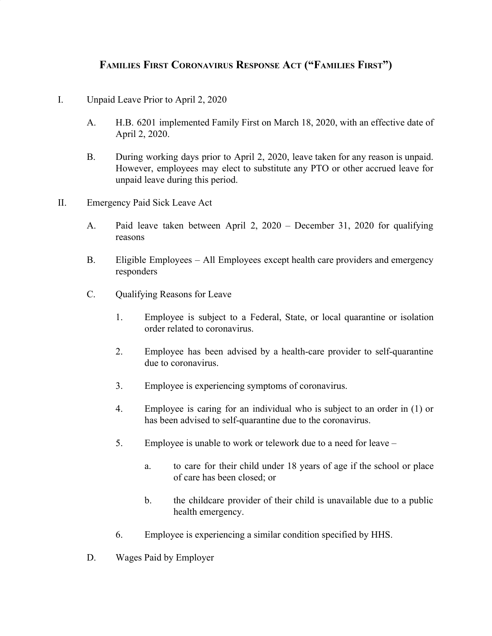## **FAMILIES FIRST CORONAVIRUS RESPONSE ACT ("FAMILIES FIRST")**

- I. Unpaid Leave Prior to April 2, 2020
	- A. H.B. 6201 implemented Family First on March 18, 2020, with an effective date of April 2, 2020.
	- B. During working days prior to April 2, 2020, leave taken for any reason is unpaid. However, employees may elect to substitute any PTO or other accrued leave for unpaid leave during this period.
- II. Emergency Paid Sick Leave Act
	- A. Paid leave taken between April 2, 2020 December 31, 2020 for qualifying reasons
	- B. Eligible Employees All Employees except health care providers and emergency responders
	- C. Qualifying Reasons for Leave
		- 1. Employee is subject to a Federal, State, or local quarantine or isolation order related to coronavirus.
		- 2. Employee has been advised by a health-care provider to self-quarantine due to coronavirus.
		- 3. Employee is experiencing symptoms of coronavirus.
		- 4. Employee is caring for an individual who is subject to an order in (1) or has been advised to self-quarantine due to the coronavirus.
		- 5. Employee is unable to work or telework due to a need for leave
			- a. to care for their child under 18 years of age if the school or place of care has been closed; or
			- b. the childcare provider of their child is unavailable due to a public health emergency.
		- 6. Employee is experiencing a similar condition specified by HHS.
	- D. Wages Paid by Employer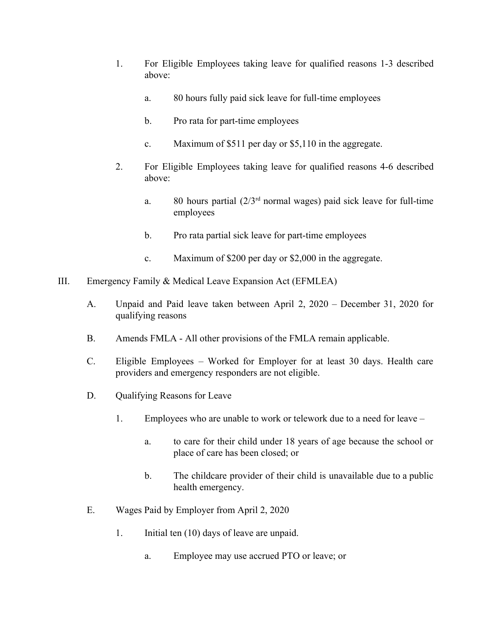- 1. For Eligible Employees taking leave for qualified reasons 1-3 described above:
	- a. 80 hours fully paid sick leave for full-time employees
	- b. Pro rata for part-time employees
	- c. Maximum of \$511 per day or \$5,110 in the aggregate.
- 2. For Eligible Employees taking leave for qualified reasons 4-6 described above:
	- a. 80 hours partial  $(2/3<sup>rd</sup>$  normal wages) paid sick leave for full-time employees
	- b. Pro rata partial sick leave for part-time employees
	- c. Maximum of \$200 per day or \$2,000 in the aggregate.
- III. Emergency Family & Medical Leave Expansion Act (EFMLEA)
	- A. Unpaid and Paid leave taken between April 2, 2020 December 31, 2020 for qualifying reasons
	- B. Amends FMLA All other provisions of the FMLA remain applicable.
	- C. Eligible Employees Worked for Employer for at least 30 days. Health care providers and emergency responders are not eligible.
	- D. Qualifying Reasons for Leave
		- 1. Employees who are unable to work or telework due to a need for leave
			- a. to care for their child under 18 years of age because the school or place of care has been closed; or
			- b. The childcare provider of their child is unavailable due to a public health emergency.
	- E. Wages Paid by Employer from April 2, 2020
		- 1. Initial ten (10) days of leave are unpaid.
			- a. Employee may use accrued PTO or leave; or